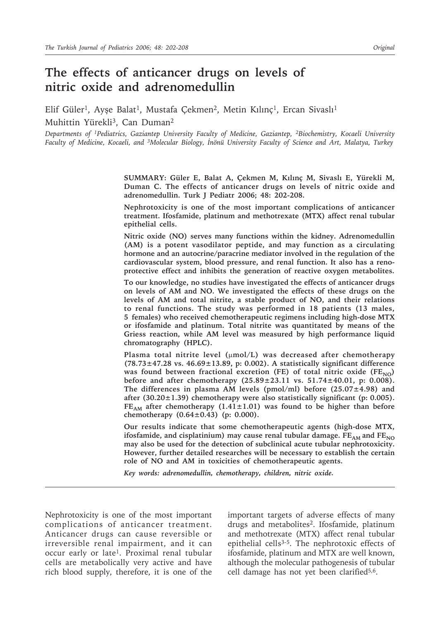# **The effects of anticancer drugs on levels of nitric oxide and adrenomedullin**

Elif Güler<sup>1</sup>, Ayşe Balat<sup>1</sup>, Mustafa Çekmen<sup>2</sup>, Metin Kılınç<sup>1</sup>, Ercan Sivaslı<sup>1</sup> Muhittin Yürekli3, Can Duman2

*Departments of 1Pediatrics, Gaziantep University Faculty of Medicine, Gaziantep, 2Biochemistry, Kocaeli University Faculty of Medicine, Kocaeli, and 3Molecular Biology, İnönü University Faculty of Science and Art, Malatya, Turkey*

> **SUMMARY: Güler E, Balat A, Çekmen M, Kılınç M, Sivaslı E, Yürekli M, Duman C. The effects of anticancer drugs on levels of nitric oxide and adrenomedullin. Turk J Pediatr 2006; 48: 202-208.**

> **Nephrotoxicity is one of the most important complications of anticancer treatment. Ifosfamide, platinum and methotrexate (MTX) affect renal tubular epithelial cells.**

> **Nitric oxide (NO) serves many functions within the kidney. Adrenomedullin (AM) is a potent vasodilator peptide, and may function as a circulating hormone and an autocrine/paracrine mediator involved in the regulation of the cardiovascular system, blood pressure, and renal function. It also has a renoprotective effect and inhibits the generation of reactive oxygen metabolites.**

> **To our knowledge, no studies have investigated the effects of anticancer drugs on levels of AM and NO. We investigated the effects of these drugs on the levels of AM and total nitrite, a stable product of NO, and their relations to renal functions. The study was performed in 18 patients (13 males, 5 females) who received chemotherapeutic regimens including high-dose MTX or ifosfamide and platinum. Total nitrite was quantitated by means of the Griess reaction, while AM level was measured by high performance liquid chromatography (HPLC).**

> **Plasma total nitrite level (**µ**mol/L) was decreased after chemotherapy (78.73±47.28 vs. 46.69±13.89, p: 0.002). A statistically significant difference**  was found between fractional excretion (FE) of total nitric oxide (FE<sub>NO</sub>) **before and after chemotherapy (25.89±23.11 vs. 51.74±40.01, p: 0.008). The differences in plasma AM levels (pmol/ml) before (25.07±4.98) and after (30.20±1.39) chemotherapy were also statistically significant (p: 0.005).**   $FE<sub>AM</sub>$  after chemotherapy (1.41 $\pm$ 1.01) was found to be higher than before **chemotherapy (0.64±0.43) (p: 0.000).**

> **Our results indicate that some chemotherapeutic agents (high-dose MTX, ifosfamide, and cisplatinium) may cause renal tubular damage.**  $FE_{AM}$  and  $FE_{NO}$ **may also be used for the detection of subclinical acute tubular nephrotoxicity. However, further detailed researches will be necessary to establish the certain role of NO and AM in toxicities of chemotherapeutic agents.**

*Key words: adrenomedullin, chemotherapy, children, nitric oxide.*

Nephrotoxicity is one of the most important complications of anticancer treatment. Anticancer drugs can cause reversible or irreversible renal impairment, and it can occur early or late<sup>1</sup>. Proximal renal tubular cells are metabolically very active and have rich blood supply, therefore, it is one of the

important targets of adverse effects of many drugs and metabolites2. Ifosfamide, platinum and methotrexate (MTX) affect renal tubular epithelial cells $3-5$ . The nephrotoxic effects of ifosfamide, platinum and MTX are well known, although the molecular pathogenesis of tubular cell damage has not yet been clarified<sup>5,6</sup>.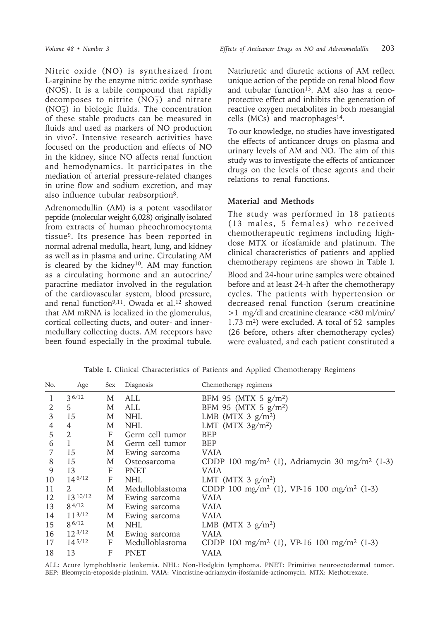Nitric oxide (NO) is synthesized from L-arginine by the enzyme nitric oxide synthase (NOS). It is a labile compound that rapidly decomposes to nitrite  $(NO<sub>2</sub>)$  and nitrate  $(NO<sub>3</sub>)$  in biologic fluids. The concentration of these stable products can be measured in fluids and used as markers of NO production in vivo7. Intensive research activities have focused on the production and effects of NO in the kidney, since NO affects renal function and hemodynamics. It participates in the mediation of arterial pressure-related changes in urine flow and sodium excretion, and may also influence tubular reabsorption8.

Adrenomedullin (AM) is a potent vasodilator peptide (molecular weight 6,028) originally isolated from extracts of human pheochromocytoma tissue9. Its presence has been reported in normal adrenal medulla, heart, lung, and kidney as well as in plasma and urine. Circulating AM is cleared by the kidney<sup>10</sup>. AM may function as a circulating hormone and an autocrine/ paracrine mediator involved in the regulation of the cardiovascular system, blood pressure, and renal function<sup>9,11</sup>. Owada et al.<sup>12</sup> showed that AM mRNA is localized in the glomerulus, cortical collecting ducts, and outer- and innermedullary collecting ducts. AM receptors have been found especially in the proximal tubule. Natriuretic and diuretic actions of AM reflect unique action of the peptide on renal blood flow and tubular function<sup>13</sup>. AM also has a renoprotective effect and inhibits the generation of reactive oxygen metabolites in both mesangial cells (MCs) and macrophages<sup>14</sup>.

To our knowledge, no studies have investigated the effects of anticancer drugs on plasma and urinary levels of AM and NO. The aim of this study was to investigate the effects of anticancer drugs on the levels of these agents and their relations to renal functions.

#### **Material and Methods**

The study was performed in 18 patients (13 males, 5 females) who received chemotherapeutic regimens including highdose MTX or ifosfamide and platinum. The clinical characteristics of patients and applied chemotherapy regimens are shown in Table I.

Blood and 24-hour urine samples were obtained before and at least 24-h after the chemotherapy cycles. The patients with hypertension or decreased renal function (serum creatinine >1 mg/dl and creatinine clearance <80 ml/min/ 1.73 m2) were excluded. A total of 52 samples (26 before, others after chemotherapy cycles) were evaluated, and each patient constituted a

| No. | Age             | Sex | Diagnosis       | Chemotherapy regimens                                                 |
|-----|-----------------|-----|-----------------|-----------------------------------------------------------------------|
| 1   | 36/12           | M   | ALL             | BFM 95 (MTX 5 $g/m^2$ )                                               |
| 2   | 5               | M   | ALL             | BFM 95 (MTX 5 $g/m^2$ )                                               |
| 3   | 15              | M   | <b>NHL</b>      | LMB (MTX 3 $g/m^2$ )                                                  |
| 4   | 4               | М   | <b>NHL</b>      | LMT (MTX $3g/m^2$ )                                                   |
| 5   | 2               | F   | Germ cell tumor | <b>BEP</b>                                                            |
| 6   | $\mathbf{1}$    | M   | Germ cell tumor | <b>BEP</b>                                                            |
| 7   | 15              | M   | Ewing sarcoma   | VAIA                                                                  |
| 8   | 15              | M   | Osteosarcoma    | CDDP 100 mg/m <sup>2</sup> (1), Adriamycin 30 mg/m <sup>2</sup> (1-3) |
| 9   | 13              | F   | PNET            | VAIA                                                                  |
| 10  | $14^{6/12}$     | F   | <b>NHL</b>      | LMT (MTX 3 $g/m2$ )                                                   |
| 11  | $2^{1}$         | M   | Medulloblastoma | CDDP 100 mg/m <sup>2</sup> (1), VP-16 100 mg/m <sup>2</sup> (1-3)     |
| 12  | 13 10/12        | M   | Ewing sarcoma   | VAIA                                                                  |
| 13  | $8\frac{4}{12}$ | M   | Ewing sarcoma   | VAIA                                                                  |
| 14  | $11^{3/12}$     | M   | Ewing sarcoma   | VAIA                                                                  |
| 15  | 86/12           | M   | <b>NHL</b>      | LMB (MTX 3 $g/m^2$ )                                                  |
| 16  | $12^{3/12}$     | M   | Ewing sarcoma   | VAIA                                                                  |
| 17  | $14^{5/12}$     | F   | Medulloblastoma | CDDP 100 mg/m <sup>2</sup> (1), VP-16 100 mg/m <sup>2</sup> (1-3)     |
| 18  | 13              | F   | <b>PNET</b>     | <b>VAIA</b>                                                           |

**Table I.** Clinical Characteristics of Patients and Applied Chemotherapy Regimens

ALL: Acute lymphoblastic leukemia. NHL: Non-Hodgkin lymphoma. PNET: Primitive neuroectodermal tumor. BEP: Bleomycin-etoposide-platinim. VAIA: Vincristine-adriamycin-ifosfamide-actinomycin. MTX: Methotrexate.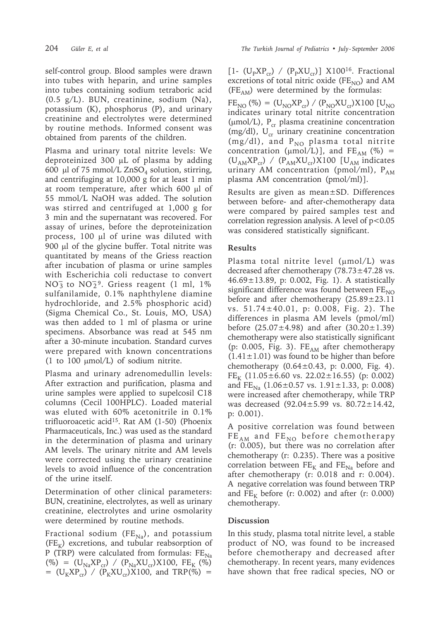204 *Güler E, et al The Turkish Journal of Pediatrics • July - September 2006*

self-control group. Blood samples were drawn into tubes with heparin, and urine samples into tubes containing sodium tetraboric acid (0.5 g/L). BUN, creatinine, sodium (Na), potassium (K), phosphorus (P), and urinary creatinine and electrolytes were determined by routine methods. Informed consent was obtained from parents of the children.

Plasma and urinary total nitrite levels: We deproteinized 300 µL of plasma by adding 600 µl of 75 mmol/L ZnSO<sub>4</sub> solution, stirring, and centrifuging at 10,000 g for at least 1 min at room temperature, after which 600 µl of 55 mmol/L NaOH was added. The solution was stirred and centrifuged at 1,000 g for 3 min and the supernatant was recovered. For assay of urines, before the deproteinization process, 100 µl of urine was diluted with 900 µl of the glycine buffer. Total nitrite was quantitated by means of the Griess reaction after incubation of plasma or urine samples with Escherichia coli reductase to convert  $NO<sub>3</sub><sup>-3</sup>$  to  $NO<sub>2</sub><sup>-9</sup>$ . Griess reagent (1 ml, 1%) sulfanilamide, 0.1% naphthylene diamine hydrochloride, and 2.5% phosphoric acid) (Sigma Chemical Co., St. Louis, MO, USA) was then added to 1 ml of plasma or urine specimens. Absorbance was read at 545 nm after a 30-minute incubation. Standard curves were prepared with known concentrations (1 to 100  $\mu$ mol/L) of sodium nitrite.

Plasma and urinary adrenomedullin levels: After extraction and purification, plasma and urine samples were applied to supelcosil C18 columns (Cecil 100HPLC). Loaded material was eluted with 60% acetonitrile in 0.1% trifluoroacetic acid15. Rat AM (1-50) (Phoenix Pharmaceuticals, Inc.) was used as the standard in the determination of plasma and urinary AM levels. The urinary nitrite and AM levels were corrected using the urinary creatinine levels to avoid influence of the concentration of the urine itself.

Determination of other clinical parameters: BUN, creatinine, electrolytes, as well as urinary creatinine, electrolytes and urine osmolarity were determined by routine methods.

Fractional sodium ( $FE_{Na}$ ), and potassium  $(FE<sub>K</sub>)$  excretions, and tubular reabsorption of P (TRP) were calculated from formulas:  $FE<sub>Na</sub>$ (%) = ( $U_{Na}XP_{cr}$ ) / ( $P_{Na}XU_{cr}$ ) X100, FE<sub>K</sub> (%) =  $(U_KXP_{cr}) / (P_KXU_{cr})X100$ , and TRP(%) =

 $[1-$  (U<sub>p</sub>XP<sub>cr</sub>) / (P<sub>p</sub>XU<sub>cr</sub>)] X100<sup>16</sup>. Fractional excretions of total nitric oxide  $(FE<sub>NO</sub>)$  and AM  $(FE<sub>AM</sub>)$  were determined by the formulas:

 $FE_{NO}$  (%) = (U<sub>NO</sub>XP<sub>cr</sub>) / (P<sub>NO</sub>XU<sub>cr</sub>)X100 [U<sub>NO</sub> indicates urinary total nitrite concentration ( $\mu$ mol/L), P<sub>cr</sub> plasma creatinine concentration (mg/dl),  $U_{cr}$  urinary creatinine concentration (mg/dl), and  $P_{NO}$  plasma total nitrite concentration ( $\mu$ mol/L)], and FE<sub>AM</sub> (%) =  $(U_{AM}XP_{cr})$  /  $(P_{AM}XU_{cr})X100$  [U<sub>AM</sub> indicates urinary AM concentration (pmol/ml),  $P_{AM}$ plasma AM concentration (pmol/ml)].

Results are given as mean±SD. Differences between before- and after-chemotherapy data were compared by paired samples test and correlation regression analysis. A level of  $p < 0.05$ was considered statistically significant.

### **Results**

Plasma total nitrite level (µmol/L) was decreased after chemotherapy (78.73±47.28 vs. 46.69±13.89, p: 0.002, Fig. 1). A statistically significant difference was found between  $FE<sub>NO</sub>$ before and after chemotherapy  $(25.89 \pm 23.11)$ vs. 51.74±40.01, p: 0.008, Fig. 2). The differences in plasma AM levels (pmol/ml) before  $(25.07 \pm 4.98)$  and after  $(30.20 \pm 1.39)$ chemotherapy were also statistically significant (p: 0.005, Fig. 3).  $FE_{AM}$  after chemotherapy  $(1.41 \pm 1.01)$  was found to be higher than before chemotherapy  $(0.64 \pm 0.43, \text{ p: } 0.000, \text{ Fig. 4}).$  $FE_K$  (11.05±6.60 vs. 22.02±16.55) (p: 0.002) and  $FE_{N_a}$  (1.06±0.57 vs. 1.91±1.33, p: 0.008) were increased after chemotherapy, while TRP was decreased (92.04±5.99 vs. 80.72±14.42, p: 0.001).

A positive correlation was found between  $FE<sub>AM</sub>$  and  $FE<sub>NO</sub>$  before chemotherapy (r: 0.005), but there was no correlation after chemotherapy (r: 0.235). There was a positive correlation between  $FE_K$  and  $FE_{Na}$  before and after chemotherapy (r: 0.018 and r: 0.004). A negative correlation was found between TRP and  $FE_K$  before (r: 0.002) and after (r: 0.000) chemotherapy.

## **Discussion**

In this study, plasma total nitrite level, a stable product of NO, was found to be increased before chemotherapy and decreased after chemotherapy. In recent years, many evidences have shown that free radical species, NO or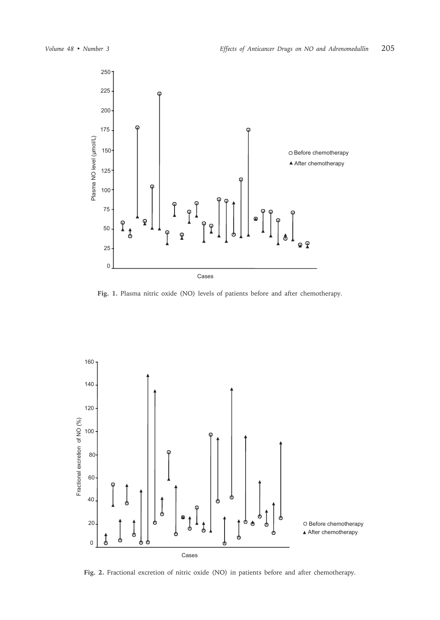

**Fig. 1.** Plasma nitric oxide (NO) levels of patients before and after chemotherapy.



**Fig. 2.** Fractional excretion of nitric oxide (NO) in patients before and after chemotherapy.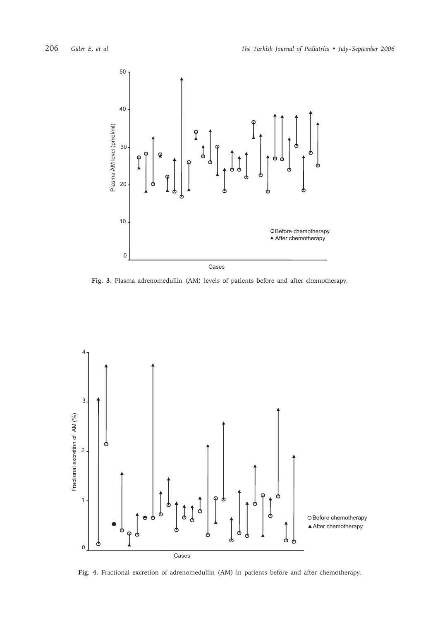

**Fig. 3.** Plasma adrenomedullin (AM) levels of patients before and after chemotherapy.



**Fig. 4.** Fractional excretion of adrenomedullin (AM) in patients before and after chemotherapy.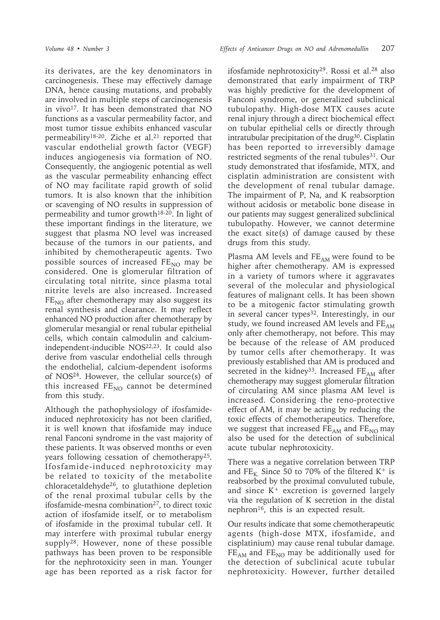its derivates, are the key denominators in carcinogenesis. These may effectively damage DNA, hence causing mutations, and probably are involved in multiple steps of carcinogenesis in vivo17. It has been demonstrated that NO functions as a vascular permeability factor, and most tumor tissue exhibits enhanced vascular permeability<sup>18-20</sup>. Ziche et al.<sup>21</sup> reported that vascular endothelial growth factor (VEGF) induces angiogenesis via formation of NO. Consequently, the angiogenic potential as well as the vascular permeability enhancing effect of NO may facilitate rapid growth of solid tumors. It is also known that the inhibition or scavenging of NO results in suppression of permeability and tumor growth18-20. In light of these important findings in the literature, we suggest that plasma NO level was increased because of the tumors in our patients, and inhibited by chemotherapeutic agents. Two possible sources of increased FE<sub>NO</sub> may be considered. One is glomerular filtration of circulating total nitrite, since plasma total nitrite levels are also increased. Increased  $FE<sub>NO</sub>$  after chemotherapy may also suggest its renal synthesis and clearance. It may reflect enhanced NO production after chemotherapy by glomerular mesangial or renal tubular epithelial cells, which contain calmodulin and calciumindependent-inducible NOS<sup>22,23</sup>. It could also derive from vascular endothelial cells through the endothelial, calcium-dependent isoforms of NOS24. However, the cellular source(s) of this increased FE<sub>NO</sub> cannot be determined from this study.

Although the pathophysiology of ifosfamideinduced nephrotoxicity has not been clarified, it is well known that ifosfamide may induce renal Fanconi syndrome in the vast majority of these patients. It was observed months or even years following cessation of chemotherapy25. Ifosfamide-induced nephrotoxicity may be related to toxicity of the metabolite chloracetaldehyde26, to glutathione depletion of the renal proximal tubular cells by the ifosfamide-mesna combination<sup>27</sup>, to direct toxic action of ifosfamide itself, or to metabolism of ifosfamide in the proximal tubular cell. It may interfere with proximal tubular energy supply28. However, none of these possible pathways has been proven to be responsible for the nephrotoxicity seen in man. Younger age has been reported as a risk factor for

ifosfamide nephrotoxicity29. Rossi et al.28 also demonstrated that early impairment of TRP was highly predictive for the development of Fanconi syndrome, or generalized subclinical tubulopathy. High-dose MTX causes acute renal injury through a direct biochemical effect on tubular epithelial cells or directly through intratubular precipitation of the drug<sup>30</sup>. Cisplatin has been reported to irreversibly damage restricted segments of the renal tubules<sup>31</sup>. Our study demonstrated that ifosfamide, MTX, and cisplatin administration are consistent with the development of renal tubular damage. The impairment of P, Na, and K reabsorption without acidosis or metabolic bone disease in our patients may suggest generalized subclinical tubulopathy. However, we cannot determine the exact site(s) of damage caused by these drugs from this study.

Plasma AM levels and  $FE_{AM}$  were found to be higher after chemotherapy. AM is expressed in a variety of tumors where it aggravates several of the molecular and physiological features of malignant cells. It has been shown to be a mitogenic factor stimulating growth in several cancer types<sup>32</sup>. Interestingly, in our study, we found increased AM levels and  $FE_{AM}$ only after chemotherapy, not before. This may be because of the release of AM produced by tumor cells after chemotherapy. It was previously established that AM is produced and secreted in the kidney<sup>33</sup>. Increased  $FE_{AM}$  after chemotherapy may suggest glomerular filtration of circulating AM since plasma AM level is increased. Considering the reno-protective effect of AM, it may be acting by reducing the toxic effects of chemotherapeutics. Therefore, we suggest that increased  $FE<sub>AM</sub>$  and  $FE<sub>NO</sub>$  may also be used for the detection of subclinical acute tubular nephrotoxicity.

There was a negative correlation between TRP and  $FE_K$  Since 50 to 70% of the filtered K<sup>+</sup> is reabsorbed by the proximal convuluted tubule, and since  $K^+$  excretion is governed largely via the regulation of K secretion in the distal nephron<sup>16</sup>, this is an expected result.

Our results indicate that some chemotherapeutic agents (high-dose MTX, ifosfamide, and cisplatinium) may cause renal tubular damage.  $FE<sub>AM</sub>$  and  $FE<sub>NO</sub>$  may be additionally used for the detection of subclinical acute tubular nephrotoxicity. However, further detailed